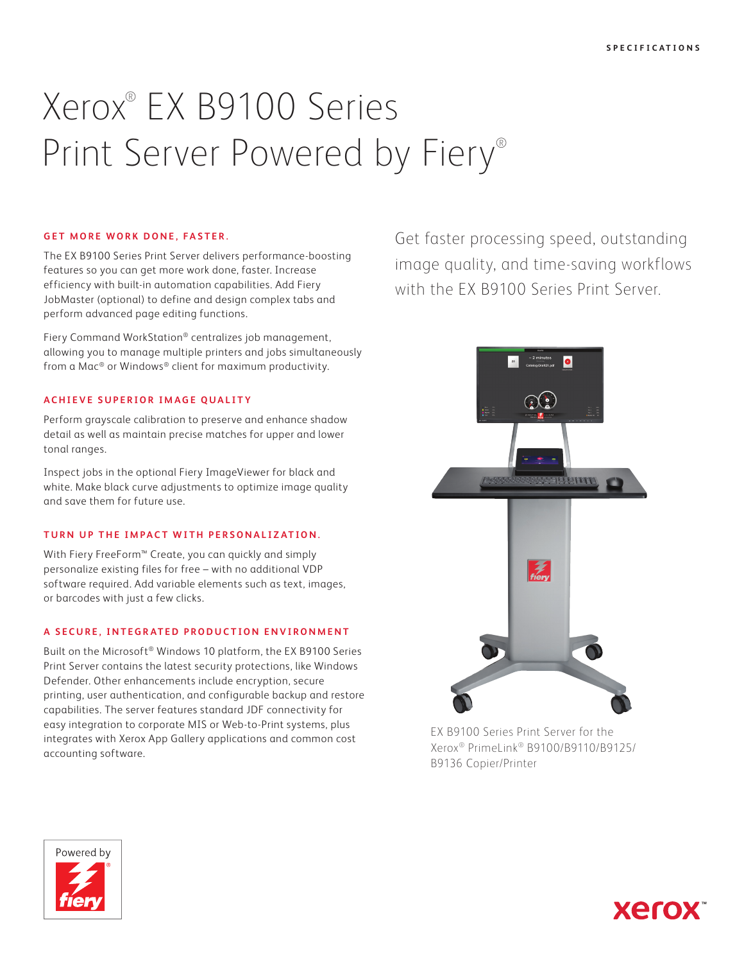# Xerox® EX B9100 Series Print Server Powered by Fiery®

#### **GET MORE WORK DONE, FASTER.**

The EX B9100 Series Print Server delivers performance-boosting features so you can get more work done, faster. Increase efficiency with built-in automation capabilities. Add Fiery JobMaster (optional) to define and design complex tabs and perform advanced page editing functions.

Fiery Command WorkStation® centralizes job management, allowing you to manage multiple printers and jobs simultaneously from a Mac® or Windows® client for maximum productivity.

# **ACHIEVE SUPERIOR IMAGE QUALITY**

Perform grayscale calibration to preserve and enhance shadow detail as well as maintain precise matches for upper and lower tonal ranges.

Inspect jobs in the optional Fiery ImageViewer for black and white. Make black curve adjustments to optimize image quality and save them for future use.

# **TURN UP THE IMPACT WITH PERSONALIZATION.**

With Fiery FreeForm™ Create, you can quickly and simply personalize existing files for free – with no additional VDP software required. Add variable elements such as text, images, or barcodes with just a few clicks.

# **A SECURE, INTEGRATED PRODUCTION ENVIRONMENT**

Built on the Microsoft® Windows 10 platform, the EX B9100 Series Print Server contains the latest security protections, like Windows Defender. Other enhancements include encryption, secure printing, user authentication, and configurable backup and restore capabilities. The server features standard JDF connectivity for easy integration to corporate MIS or Web-to-Print systems, plus integrates with Xerox App Gallery applications and common cost accounting software.

Get faster processing speed, outstanding image quality, and time-saving workflows with the EX B9100 Series Print Server.



EX B9100 Series Print Server for the Xerox® PrimeLink® B9100/B9110/B9125/ B9136 Copier/Printer